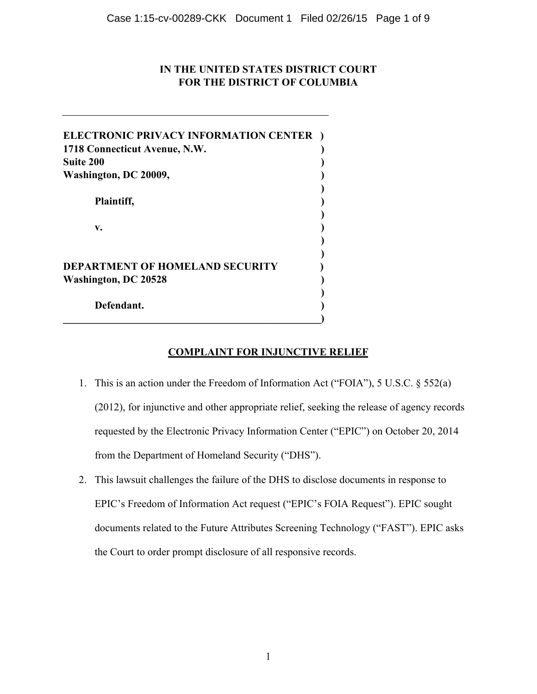# **IN THE UNITED STATES DISTRICT COURT FOR THE DISTRICT OF COLUMBIA**

| ELECTRONIC PRIVACY INFORMATION CENTER                                 |  |
|-----------------------------------------------------------------------|--|
| 1718 Connecticut Avenue, N.W.<br><b>Suite 200</b>                     |  |
| Washington, DC 20009,                                                 |  |
| Plaintiff,                                                            |  |
| v.                                                                    |  |
| <b>DEPARTMENT OF HOMELAND SECURITY</b><br><b>Washington, DC 20528</b> |  |
| Defendant.                                                            |  |

# **COMPLAINT FOR INJUNCTIVE RELIEF**

- 1. This is an action under the Freedom of Information Act ("FOIA"), 5 U.S.C. § 552(a) (2012), for injunctive and other appropriate relief, seeking the release of agency records requested by the Electronic Privacy Information Center ("EPIC") on October 20, 2014 from the Department of Homeland Security ("DHS").
- 2. This lawsuit challenges the failure of the DHS to disclose documents in response to EPIC's Freedom of Information Act request ("EPIC's FOIA Request"). EPIC sought documents related to the Future Attributes Screening Technology ("FAST"). EPIC asks the Court to order prompt disclosure of all responsive records.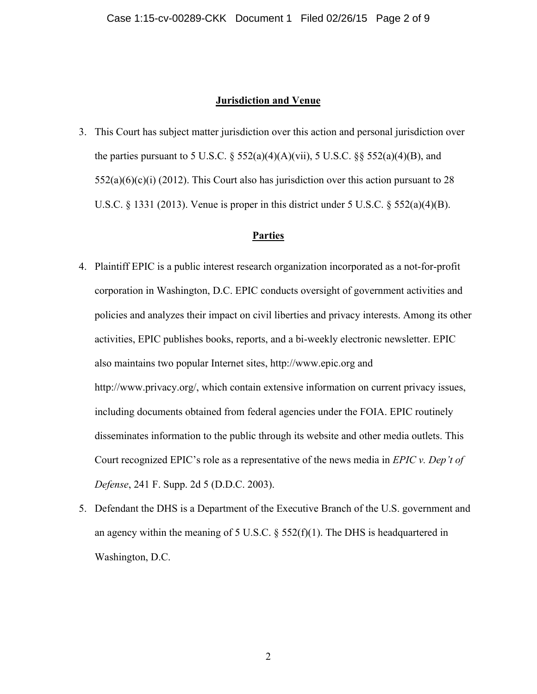#### **Jurisdiction and Venue**

3. This Court has subject matter jurisdiction over this action and personal jurisdiction over the parties pursuant to 5 U.S.C.  $\S$  552(a)(4)(A)(vii), 5 U.S.C.  $\S$  $\S$  552(a)(4)(B), and  $552(a)(6)(c)(i)$  (2012). This Court also has jurisdiction over this action pursuant to 28 U.S.C. § 1331 (2013). Venue is proper in this district under 5 U.S.C. § 552(a)(4)(B).

# **Parties**

- 4. Plaintiff EPIC is a public interest research organization incorporated as a not-for-profit corporation in Washington, D.C. EPIC conducts oversight of government activities and policies and analyzes their impact on civil liberties and privacy interests. Among its other activities, EPIC publishes books, reports, and a bi-weekly electronic newsletter. EPIC also maintains two popular Internet sites, http://www.epic.org and http://www.privacy.org/, which contain extensive information on current privacy issues, including documents obtained from federal agencies under the FOIA. EPIC routinely disseminates information to the public through its website and other media outlets. This Court recognized EPIC's role as a representative of the news media in *EPIC v. Dep't of Defense*, 241 F. Supp. 2d 5 (D.D.C. 2003).
- 5. Defendant the DHS is a Department of the Executive Branch of the U.S. government and an agency within the meaning of 5 U.S.C.  $\S$  552(f)(1). The DHS is headquartered in Washington, D.C.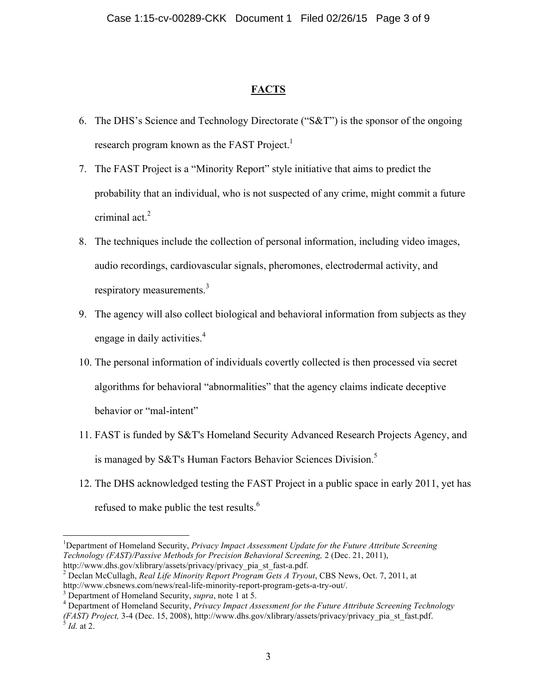# **FACTS**

- 6. The DHS's Science and Technology Directorate ("S&T") is the sponsor of the ongoing research program known as the FAST Project.<sup>1</sup>
- 7. The FAST Project is a "Minority Report" style initiative that aims to predict the probability that an individual, who is not suspected of any crime, might commit a future criminal act. 2
- 8. The techniques include the collection of personal information, including video images, audio recordings, cardiovascular signals, pheromones, electrodermal activity, and respiratory measurements.<sup>3</sup>
- 9. The agency will also collect biological and behavioral information from subjects as they engage in daily activities.<sup>4</sup>
- 10. The personal information of individuals covertly collected is then processed via secret algorithms for behavioral "abnormalities" that the agency claims indicate deceptive behavior or "mal-intent"
- 11. FAST is funded by S&T's Homeland Security Advanced Research Projects Agency, and is managed by S&T's Human Factors Behavior Sciences Division.<sup>5</sup>
- 12. The DHS acknowledged testing the FAST Project in a public space in early 2011, yet has refused to make public the test results.<sup>6</sup>

!!!!!!!!!!!!!!!!!!!!!!!!!!!!!!!!!!!!!!!!!!!!!!!!!!!!!!!!!!!!

<sup>&</sup>lt;sup>1</sup>Department of Homeland Security, *Privacy Impact Assessment Update for the Future Attribute Screening Technology (FAST)/Passive Methods for Precision Behavioral Screening,* 2 (Dec. 21, 2011),

http://www.dhs.gov/xlibrary/assets/privacy/privacy\_pia\_st\_fast-a.pdf. 2 Declan McCullagh, *Real Life Minority Report Program Gets A Tryout*, CBS News, Oct. 7, 2011, at http://www.cbsnews.com/news/real-life-minority-report-program-gets-a-try-out/. <sup>3</sup>

Department of Homeland Security, *supra*, note 1 at 5. 4

Department of Homeland Security, *Privacy Impact Assessment for the Future Attribute Screening Technology (FAST) Project,* 3-4 (Dec. 15, 2008), http://www.dhs.gov/xlibrary/assets/privacy/privacy\_pia\_st\_fast.pdf. 5 *Id.* at 2.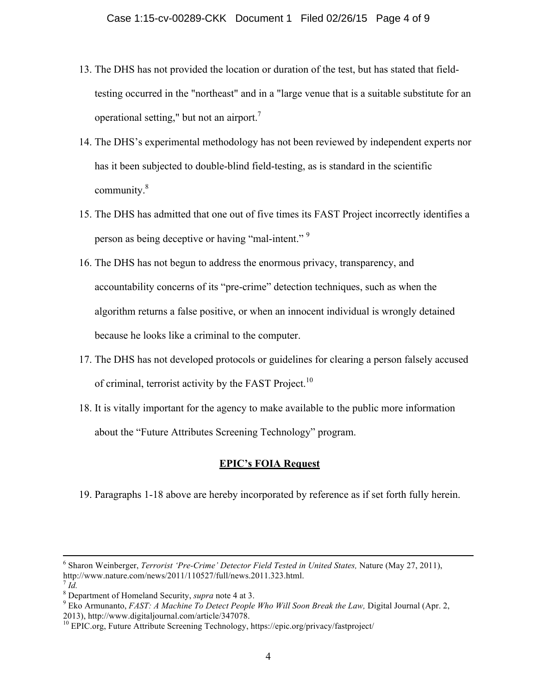- 13. The DHS has not provided the location or duration of the test, but has stated that fieldtesting occurred in the "northeast" and in a "large venue that is a suitable substitute for an operational setting," but not an airport.<sup>7</sup>
- 14. The DHS's experimental methodology has not been reviewed by independent experts nor has it been subjected to double-blind field-testing, as is standard in the scientific community. 8
- 15. The DHS has admitted that one out of five times its FAST Project incorrectly identifies a person as being deceptive or having "mal-intent."<sup>9</sup>
- 16. The DHS has not begun to address the enormous privacy, transparency, and accountability concerns of its "pre-crime" detection techniques, such as when the algorithm returns a false positive, or when an innocent individual is wrongly detained because he looks like a criminal to the computer.
- 17. The DHS has not developed protocols or guidelines for clearing a person falsely accused of criminal, terrorist activity by the FAST Project.<sup>10</sup>
- 18. It is vitally important for the agency to make available to the public more information about the "Future Attributes Screening Technology" program.

# **EPIC's FOIA Request**

19. Paragraphs 1-18 above are hereby incorporated by reference as if set forth fully herein.

!!!!!!!!!!!!!!!!!!!!!!!!!!!!!!!!!!!!!!!!!!!!!!!!!!!!!!!!!!!!!!!!!!!!!!!!!!!!!!!!!!!!!!!!!!!!!!!!!!!!!!!!!!!!!!!!!!!!!!!!!!!!!!!!!!!!!!!!!!!!!!!!!!!!!!!!!!!!!!!!!!!!!!!!!!!!!!!!!!!!!!!!!!!!!!!!!!!

 $^7$  *Id.* 

<sup>&</sup>lt;sup>6</sup> Sharon Weinberger, *Terrorist 'Pre-Crime' Detector Field Tested in United States*, Nature (May 27, 2011), http://www.nature.com/news/2011/110527/full/news.2011.323.html.

<sup>&</sup>lt;sup>8</sup> Department of Homeland Security, *supra* note 4 at 3.<br><sup>9</sup> Else Armunante, EAST: A Maghine To Detect Beaple

<sup>&</sup>lt;sup>9</sup> Eko Armunanto, *FAST: A Machine To Detect People Who Will Soon Break the Law, Digital Journal (Apr. 2, 2013), http://www.digitaljournal.com/article/347078.* 

<sup>&</sup>lt;sup>10</sup> EPIC.org, Future Attribute Screening Technology, https://epic.org/privacy/fastproject/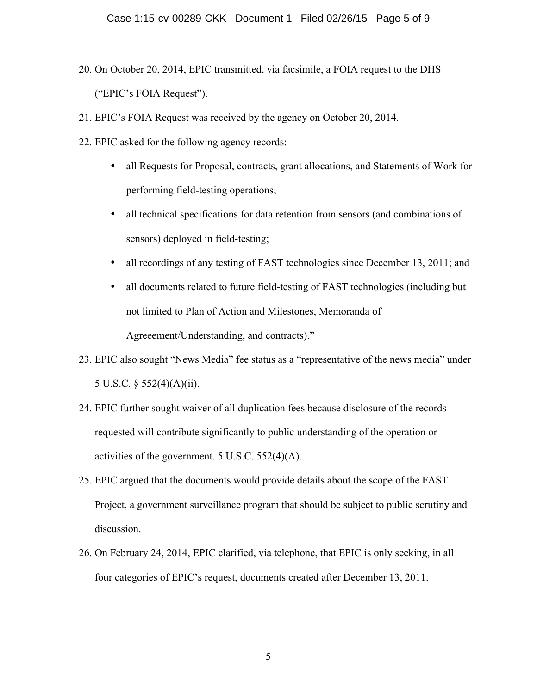- 20. On October 20, 2014, EPIC transmitted, via facsimile, a FOIA request to the DHS ("EPIC's FOIA Request").
- 21. EPIC's FOIA Request was received by the agency on October 20, 2014.
- 22. EPIC asked for the following agency records:
	- all Requests for Proposal, contracts, grant allocations, and Statements of Work for performing field-testing operations;
	- all technical specifications for data retention from sensors (and combinations of sensors) deployed in field-testing;
	- all recordings of any testing of FAST technologies since December 13, 2011; and
	- all documents related to future field-testing of FAST technologies (including but not limited to Plan of Action and Milestones, Memoranda of Agreeement/Understanding, and contracts)."
- 23. EPIC also sought "News Media" fee status as a "representative of the news media" under 5 U.S.C. § 552(4)(A)(ii).
- 24. EPIC further sought waiver of all duplication fees because disclosure of the records requested will contribute significantly to public understanding of the operation or activities of the government. 5 U.S.C. 552(4)(A).
- 25. EPIC argued that the documents would provide details about the scope of the FAST Project, a government surveillance program that should be subject to public scrutiny and discussion.
- 26. On February 24, 2014, EPIC clarified, via telephone, that EPIC is only seeking, in all four categories of EPIC's request, documents created after December 13, 2011.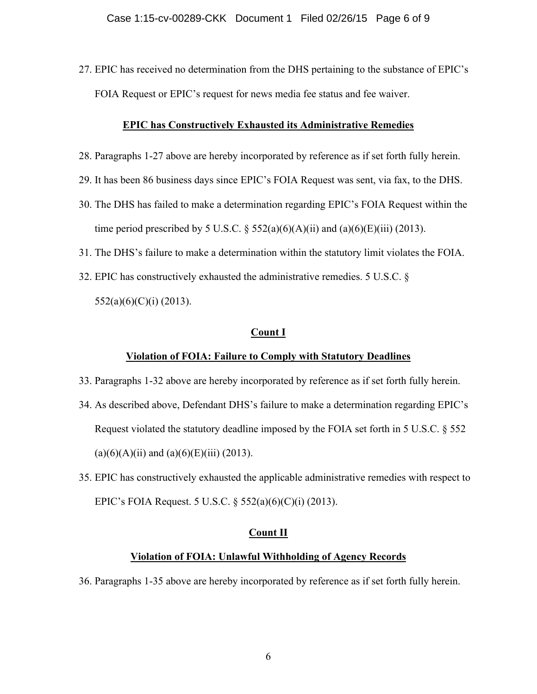27. EPIC has received no determination from the DHS pertaining to the substance of EPIC's FOIA Request or EPIC's request for news media fee status and fee waiver.

## **EPIC has Constructively Exhausted its Administrative Remedies**

- 28. Paragraphs 1-27 above are hereby incorporated by reference as if set forth fully herein.
- 29. It has been 86 business days since EPIC's FOIA Request was sent, via fax, to the DHS.
- 30. The DHS has failed to make a determination regarding EPIC's FOIA Request within the time period prescribed by 5 U.S.C.  $\S$  552(a)(6)(A)(ii) and (a)(6)(E)(iii) (2013).
- 31. The DHS's failure to make a determination within the statutory limit violates the FOIA.
- 32. EPIC has constructively exhausted the administrative remedies. 5 U.S.C. § 552(a)(6)(C)(i) (2013).

## **Count I**

# **Violation of FOIA: Failure to Comply with Statutory Deadlines**

- 33. Paragraphs 1-32 above are hereby incorporated by reference as if set forth fully herein.
- 34. As described above, Defendant DHS's failure to make a determination regarding EPIC's Request violated the statutory deadline imposed by the FOIA set forth in 5 U.S.C. § 552  $(a)(6)(A)(ii)$  and  $(a)(6)(E)(iii)$  (2013).
- 35. EPIC has constructively exhausted the applicable administrative remedies with respect to EPIC's FOIA Request. 5 U.S.C. § 552(a)(6)(C)(i) (2013).

#### **Count II**

## **Violation of FOIA: Unlawful Withholding of Agency Records**

36. Paragraphs 1-35 above are hereby incorporated by reference as if set forth fully herein.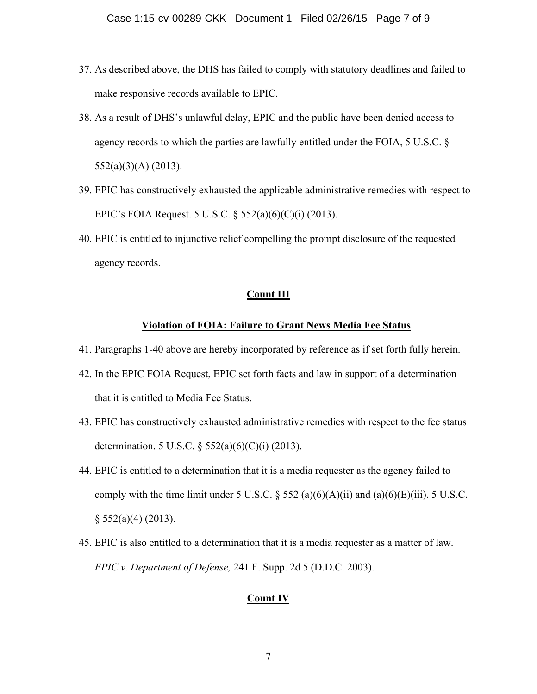- 37. As described above, the DHS has failed to comply with statutory deadlines and failed to make responsive records available to EPIC.
- 38. As a result of DHS's unlawful delay, EPIC and the public have been denied access to agency records to which the parties are lawfully entitled under the FOIA, 5 U.S.C. § 552(a)(3)(A) (2013).
- 39. EPIC has constructively exhausted the applicable administrative remedies with respect to EPIC's FOIA Request. 5 U.S.C. § 552(a)(6)(C)(i) (2013).
- 40. EPIC is entitled to injunctive relief compelling the prompt disclosure of the requested agency records.

#### **Count III**

#### **Violation of FOIA: Failure to Grant News Media Fee Status**

- 41. Paragraphs 1-40 above are hereby incorporated by reference as if set forth fully herein.
- 42. In the EPIC FOIA Request, EPIC set forth facts and law in support of a determination that it is entitled to Media Fee Status.
- 43. EPIC has constructively exhausted administrative remedies with respect to the fee status determination. 5 U.S.C. § 552(a)(6)(C)(i) (2013).
- 44. EPIC is entitled to a determination that it is a media requester as the agency failed to comply with the time limit under 5 U.S.C.  $\S$  552 (a)(6)(A)(ii) and (a)(6)(E)(iii). 5 U.S.C.  $\S$  552(a)(4) (2013).
- 45. EPIC is also entitled to a determination that it is a media requester as a matter of law. *EPIC v. Department of Defense,* 241 F. Supp. 2d 5 (D.D.C. 2003).

# **Count IV**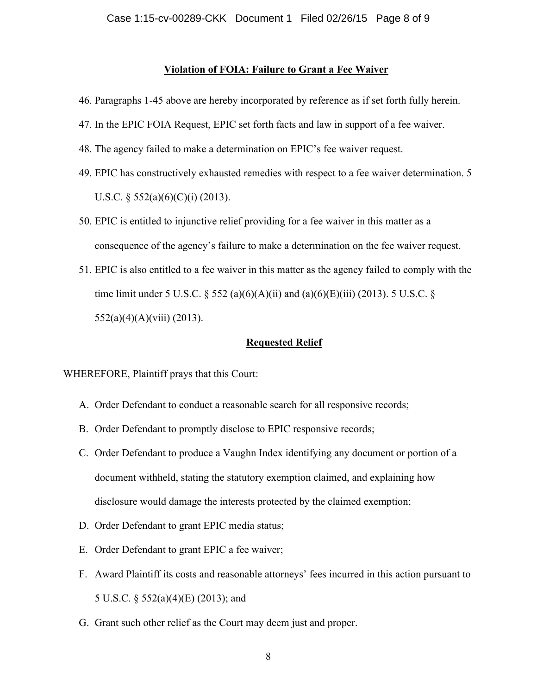#### **Violation of FOIA: Failure to Grant a Fee Waiver**

- 46. Paragraphs 1-45 above are hereby incorporated by reference as if set forth fully herein.
- 47. In the EPIC FOIA Request, EPIC set forth facts and law in support of a fee waiver.
- 48. The agency failed to make a determination on EPIC's fee waiver request.
- 49. EPIC has constructively exhausted remedies with respect to a fee waiver determination. 5 U.S.C.  $\S$  552(a)(6)(C)(i) (2013).
- 50. EPIC is entitled to injunctive relief providing for a fee waiver in this matter as a consequence of the agency's failure to make a determination on the fee waiver request.
- 51. EPIC is also entitled to a fee waiver in this matter as the agency failed to comply with the time limit under 5 U.S.C. § 552 (a)(6)(A)(ii) and (a)(6)(E)(iii) (2013). 5 U.S.C. §  $552(a)(4)(A)(viii) (2013).$

## **Requested Relief**

WHEREFORE, Plaintiff prays that this Court:

- A. Order Defendant to conduct a reasonable search for all responsive records;
- B. Order Defendant to promptly disclose to EPIC responsive records;
- C. Order Defendant to produce a Vaughn Index identifying any document or portion of a document withheld, stating the statutory exemption claimed, and explaining how disclosure would damage the interests protected by the claimed exemption;
- D. Order Defendant to grant EPIC media status;
- E. Order Defendant to grant EPIC a fee waiver;
- F. Award Plaintiff its costs and reasonable attorneys' fees incurred in this action pursuant to 5 U.S.C. § 552(a)(4)(E) (2013); and
- G. Grant such other relief as the Court may deem just and proper.